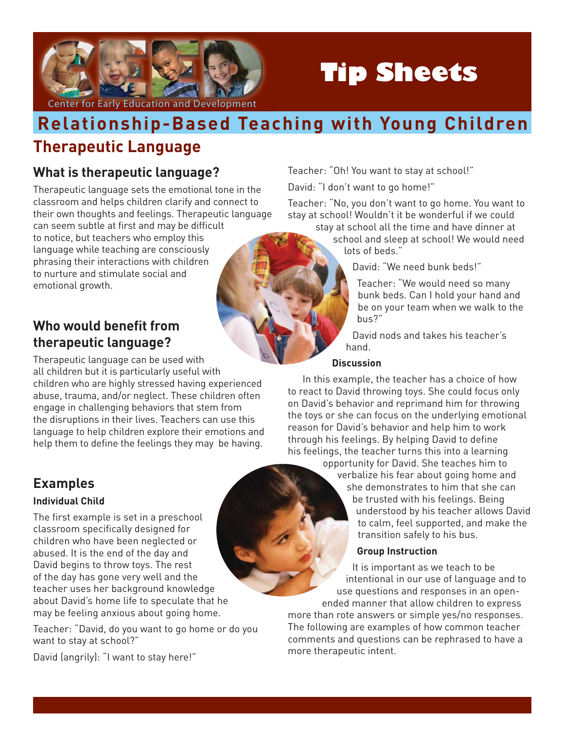

# **Tip Sheets**

# **Therapeutic Language Relationship-Based Teaching with Young Children**

## **What is therapeutic language?**

Therapeutic language sets the emotional tone in the classroom and helps children clarify and connect to their own thoughts and feelings. Therapeutic language can seem subtle at first and may be difficult to notice, but teachers who employ this language while teaching are consciously phrasing their interactions with children to nurture and stimulate social and emotional growth.

### **Who would benefit from therapeutic language?**

Therapeutic language can be used with all children but it is particularly useful with children who are highly stressed having experienced abuse, trauma, and/or neglect. These children often engage in challenging behaviors that stem from the disruptions in their lives. Teachers can use this language to help children explore their emotions and help them to define the feelings they may be having.

# **Examples**

#### **Individual Child**

The first example is set in a preschool classroom specifically designed for children who have been neglected or abused. It is the end of the day and David begins to throw toys. The rest of the day has gone very well and the teacher uses her background knowledge about David's home life to speculate that he may be feeling anxious about going home.

Teacher: "David, do you want to go home or do you want to stay at school?"

David (angrily): "I want to stay here!"

Teacher: "Oh! You want to stay at school!"

David: "I don't want to go home!"

Teacher: "No, you don't want to go home. You want to stay at school! Wouldn't it be wonderful if we could

stay at school all the time and have dinner at school and sleep at school! We would need lots of beds."

David: "We need bunk beds!"

Teacher: "We would need so many bunk beds. Can I hold your hand and be on your team when we walk to the bus?"

David nods and takes his teacher's hand.

#### **Discussion**

In this example, the teacher has a choice of how to react to David throwing toys. She could focus only on David's behavior and reprimand him for throwing the toys or she can focus on the underlying emotional reason for David's behavior and help him to work through his feelings. By helping David to define his feelings, the teacher turns this into a learning

opportunity for David. She teaches him to verbalize his fear about going home and she demonstrates to him that she can be trusted with his feelings. Being understood by his teacher allows David to calm, feel supported, and make the transition safely to his bus.

#### **Group Instruction**

It is important as we teach to be intentional in our use of language and to use questions and responses in an openended manner that allow children to express more than rote answers or simple yes/no responses. The following are examples of how common teacher comments and questions can be rephrased to have a more therapeutic intent.